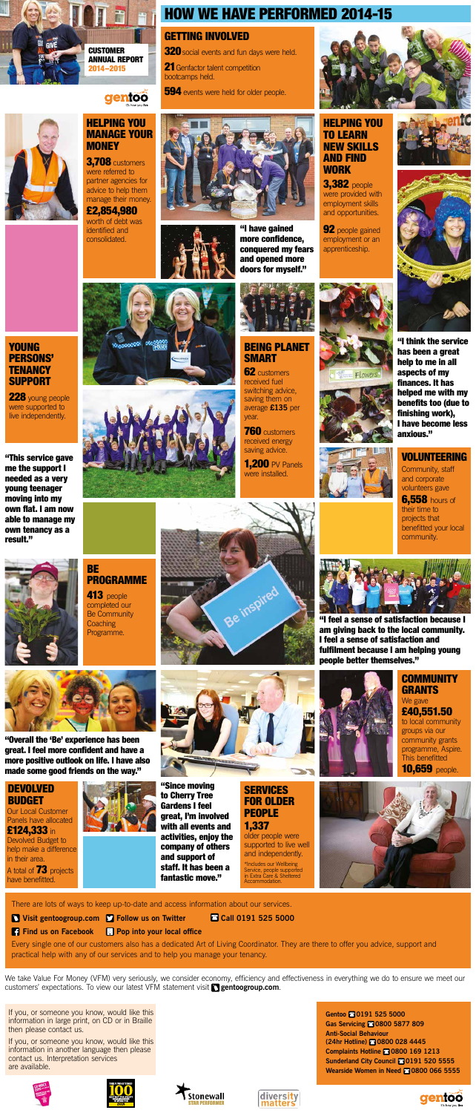Community, staff and corporate volunteers gave

**6,558 hours of** their time to projects that benefitted your local community.

**21** Genfactor talent competition bootcamps held.

**594** events were held for older people.





### VOLUNTEERING

228 young people were supported to live independently.

### GETTING INVOLVED

**320** social events and fun days were held.

# HOW WE HAVE PERFORMED 2014-15

"Overall the 'Be' experience has been great. I feel more confident and have a more positive outlook on life. I have also made some good friends on the way."

"This service gave me the support I needed as a very young teenager moving into my own flat. I am now able to manage my own tenancy as a result."







### DEVOLVED BUDGET

### YOUNG PERSONS' **TENANCY** SUPPORT

Our Local Customer Panels have allocated £124,333 in Devolved Budget to help make a difference

in their area. A total of **73** projects have benefitted.





There are lots of ways to keep up-to-date and access information about our services.

- - **Visit gentoogroup.com Follow us on Twitter**
- - **Find us on Facebook Pop into your local office**

£40,551.50 to local community groups via our community grants programme, Aspire. This benefitted **10,659** people.

**Call 0191 525 5000**

**COMMUNITY** GRANTS

### **BE** PROGRAMME

Every single one of our customers also has a dedicated Art of Living Coordinator. They are there to offer you advice, support and practical help with any of our services and to help you manage your tenancy.

**3,382** people were provided with employment skills and opportunities.

**92** people gained employment or an apprenticeship.





### HELPING YOU TO LEARN NEW SKILLS AND FIND **WORK**

We take Value For Money (VFM) very seriously, we consider economy, efficiency and effectiveness in everything we do to ensure we meet our customers' expectations. To view our latest VFM statement visit **gentoogroup.com**.

### BEING PLANET **SMART**

**62** customers received fuel switching advice, saving them on year.

**760** customers received energy saving advice.



**1,200 PV Panels** were installed.



If you, or someone you know, would like this information in large print, on CD or in Braille then please contact us.

#### Gentoo **80191 525 5000** Gas Servicing **2**0800 5877 809

**MONEY 3,708** customers were referred to partner agencies for advice to help them manage their money.

If you, or someone you know, would like this information in another language then please contact us. Interpretation services are available.











**CUSTOMER** ANNUAL REPORT 2014–2015



**Anti-Social Behaviour (24hr Hotline) 0800 028 4445 Complaints Hotline 2 0800 169 1213 Sunderland City Council 8 0191 520 5555 Wearside Women in Need 8 0800 066 5555** 



"Since moving to Cherry Tree Gardens I feel great, I'm involved with all events and activities, enjoy the company of others and support of staff. It has been a fantastic move."

older people were supported to live well and independently.

### 1,337 **SERVICES** FOR OLDER PEOPLE

\*Includes our Wellbeing Service, people supported in Extra Care & Sheltered Accommodation.



We gave

413 people completed our Be Community **Coaching** Programme.





"I feel a sense of satisfaction because I am giving back to the local community. I feel a sense of satisfaction and fulfilment because I am helping young people better themselves."



"I have gained more confidence, conquered my fears and opened more doors for myself."



## HELPING YOU MANAGE YOUR

gentoo

average **£135** per

"I think the service has been a great help to me in all aspects of my finances. It has helped me with my benefits too (due to finishing work), I have become less anxious."

£2,854,980 worth of debt was identified and consolidated.